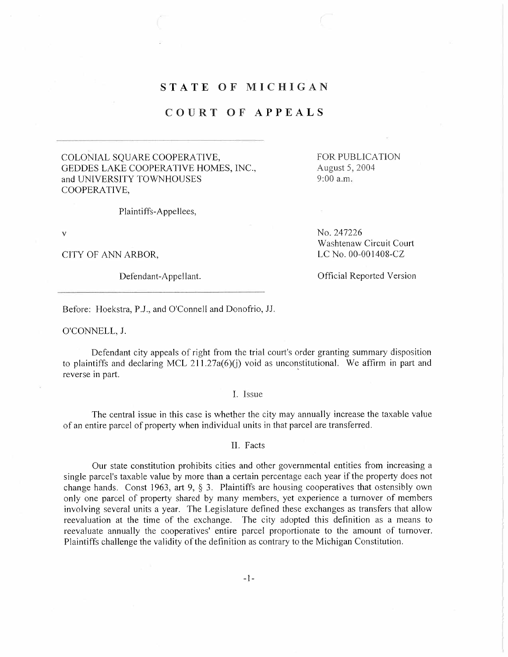## STATE OF MICHIGAN

## COURT OF APPEALS

COLONIAL SQUARE COOPERATIVE, GEDDES LAKE COOPERATIVE HOMES, INC., and UNIVERSITY TOWNHOUSES COOPERATIVE,

FOR PUBLICATION August 5,2004 9:00 a.m

Plaintiffs-Appellees,

v

CITY OF ANN ARBOR,

No. 247226 Washtenaw Circuit Court LC No. 00-001408-CZ

Defendant-Appellant. Communication of Contract Contract Official Reported Version

Before: Hoekstra, P.J., and O'Connell and Donofrio, JJ.

O'CONNELL, J.

Defendant city appeals of right from the trial court's order granting summary disposition to plaintiffs and declaring MCL 211.27a( $6$ )(j) void as unconstitutional. We affirm in part and reverse in part.

1. Issue

The central issue in this case is whether the city may annually increase the taxable value of an entire parcel of property when individual units in that parcel are transferred.

II. Facts

Our state constitution prohibits cities and other governmental entities from increasing a single parcel's taxable value by more than a certain percentage each year if the property does not change hands. Const 1963, art 9, § 3. Plaintiffs are housing cooperatives that ostensibly own only one parcel of property shared by many members, yet experience a turnover of members involving several units a year. The Legislature defined these exchanges as transfers that allow reevaluation at the time of the exchange. The city adopted this definition as a means to reevaluate annually the cooperatives' entire parcel proportionate to the amount of turnover. Plaintiffs challenge the validity of the definition as contrary to the Michigan Constitution.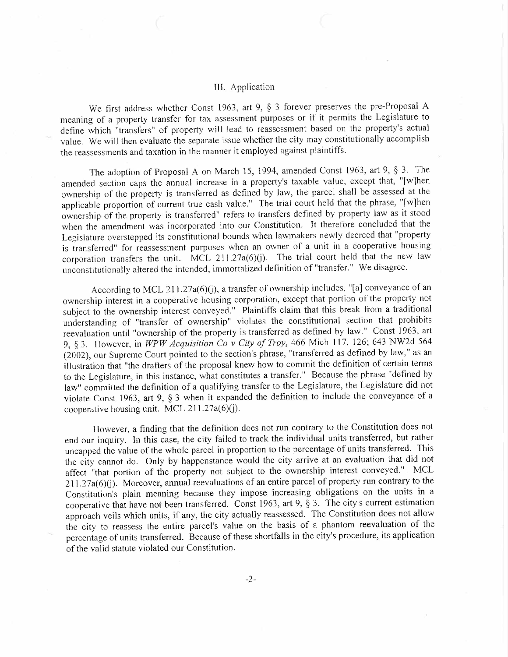## II. Application

We first address whether Const 1963, art 9, § 3 forever preserves the pre-Proposal A meaning of a property transfer for tax assessment purposes or if it permits the Legislature to define which "transfers" of property will lead to reassessment based on the property's actual value. We will then evaluate the separate issue whether the city may constitutionally accomplish the reassessments and taxation in the manner it employed against plaintiffs.

The adoption of Proposal A on March 15, 1994, amended Const 1963, art 9, § 3. The amended section caps the annual increase in a property's taxable value, except that, "(w)hen ownership of the property is transferred as defined by law, the parcel shall be assessed at the applicable proportion of current true cash value." The trial court held that the phrase, "(wJhen ownership of the property is transferred" refers to transfers defined by property law as it stood when the amendment was incorporated into our Constitution. It therefore concluded that the Legislature overstepped its constitutional bounds when lawmakers newly decreed that "property is transferred" for reassessment purposes when an owner of a unit in a cooperative housing corporation transfers the unit. MCL  $211.27a(6)(i)$ . The trial court held that the new law unconstitutionally altered the intended, immortalized definition of "transfer." We disagree.

According to MCL 211.27a(6)(j), a transfer of ownership includes, "[a] conveyance of an ownership interest in a cooperative housing corporation, except that portion of the property not subject to the ownership interest conveyed." Plaintiffs claim that this break from a traditional understanding of "transfer of ownership" violates the constitutional section that prohibits reevaluation until "ownership of the property is transferred as defined by law." Const 1963, art 9, § 3. However, in WPW Acquisition Co v City of Troy, 466 Mich 117, 126; 643 NW2d 564 (2002), our Supreme Court pointed to the section's phrase, "transferred as defined by law," as an illustration that "the drafters of the proposal knew how to commit the definition of certain terms to the Legislature, in this instance, what constitutes a transfer." Because the phrase "defined by law" committed the definition of a qualifying transfer to the Legislature, the Legislature did not violate Const 1963, art 9, § 3 when it expanded the definition to include the conveyance of a cooperative housing unit. MCL  $211.27a(6)(j)$ .

However, a finding that the definition does not run contrary to the Constitution does not end our inquiry. In this case, the city failed to track the individual units transferred, but rather uncapped the value of the whole parcel in proportion to the percentage öf units transferred. This the city cannot do. Only by happenstance would the city arrive at an evaluation that did not affect "that portion of the property not subject to the ownership interest conveyed." MCL  $211.27a(6)(j)$ . Moreover, annual reevaluations of an entire parcel of property run contrary to the Constitution's plain meaning because they impose increasing obligations on the units in a cooperative that have not been transferred. Const 1963, art 9, § 3. The city's current estimation approach veils which units, if any, the city actually reassessed. The Constitution does not allow the city to reassess the entire parcel's value on the basis of a phantom reevaluation of the percentage of units transferred. Because of these shortfalls in the city's procedure, its application of the valid statute violated our Constitution.